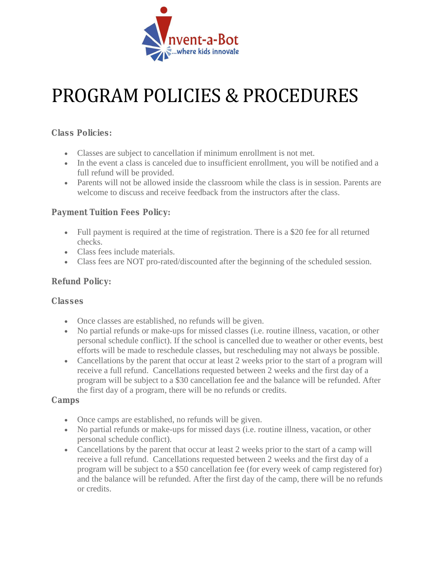

## PROGRAM POLICIES & PROCEDURES

Class Policies:

- Classes are subject to cancellation if minimum enrollment is not met.
- In the event a class is canceled due to insufficient enrollment, you will be notified and a full refund will be provided.
- Parents will not be allowed inside the classroom while the class is in session. Parents are welcome to discuss and receive feedback from the instructors after the class.

## Payment Tuition Fees Policy:

- Full payment is required at the time of registration. There is a \$20 fee for all returned checks.
- Class fees include materials.
- Class fees are NOT pro-rated/discounted after the beginning of the scheduled session.

## Refund Policy:

Classes

- Once classes are established, no refunds will be given.
- No partial refunds or make-ups for missed classes (i.e. routine illness, vacation, or other personal schedule conflict). If the school is cancelled due to weather or other events, best efforts will be made to reschedule classes, but rescheduling may not always be possible.
- Cancellations by the parent that occur at least 2 weeks prior to the start of a program will receive a full refund. Cancellations requested between 2 weeks and the first day of a program will be subject to a \$30 cancellation fee and the balance will be refunded. After the first day of a program, there will be no refunds or credits.

Camps

- Once camps are established, no refunds will be given.
- No partial refunds or make-ups for missed days (i.e. routine illness, vacation, or other personal schedule conflict).
- Cancellations by the parent that occur at least 2 weeks prior to the start of a camp will receive a full refund. Cancellations requested between 2 weeks and the first day of a program will be subject to a \$50 cancellation fee (for every week of camp registered for) and the balance will be refunded. After the first day of the camp, there will be no refunds or credits.